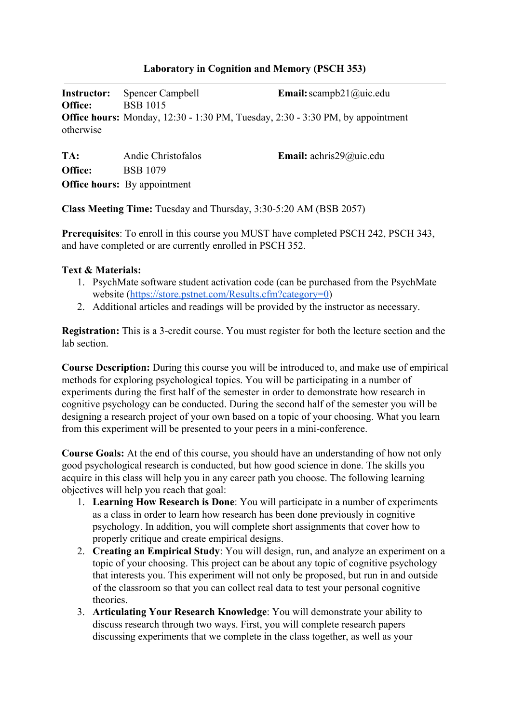#### **Laboratory in Cognition and Memory (PSCH 353)**

**Instructor:** Spencer Campbell **Email:**scampb21@uic.edu **Office:** BSB 1015 **Office hours:** Monday, 12:30 - 1:30 PM, Tuesday, 2:30 - 3:30 PM, by appointment otherwise

| TA:     | Andie Christofalos                  | <b>Email:</b> achris29@uic.edu |
|---------|-------------------------------------|--------------------------------|
| Office: | <b>BSB 1079</b>                     |                                |
|         | <b>Office hours:</b> By appointment |                                |

**Class Meeting Time:** Tuesday and Thursday, 3:30-5:20 AM (BSB 2057)

**Prerequisites**: To enroll in this course you MUST have completed PSCH 242, PSCH 343, and have completed or are currently enrolled in PSCH 352.

#### **Text & Materials:**

- 1. PsychMate software student activation code (can be purchased from the PsychMate website [\(https://store.pstnet.com/Results.cfm?category=0\)](https://store.pstnet.com/Results.cfm?category=0)
- 2. Additional articles and readings will be provided by the instructor as necessary.

**Registration:** This is a 3-credit course. You must register for both the lecture section and the lab section

**Course Description:** During this course you will be introduced to, and make use of empirical methods for exploring psychological topics. You will be participating in a number of experiments during the first half of the semester in order to demonstrate how research in cognitive psychology can be conducted. During the second half of the semester you will be designing a research project of your own based on a topic of your choosing. What you learn from this experiment will be presented to your peers in a mini-conference.

**Course Goals:** At the end of this course, you should have an understanding of how not only good psychological research is conducted, but how good science in done. The skills you acquire in this class will help you in any career path you choose. The following learning objectives will help you reach that goal:

- 1. **Learning How Research is Done**: You will participate in a number of experiments as a class in order to learn how research has been done previously in cognitive psychology. In addition, you will complete short assignments that cover how to properly critique and create empirical designs.
- 2. **Creating an Empirical Study**: You will design, run, and analyze an experiment on a topic of your choosing. This project can be about any topic of cognitive psychology that interests you. This experiment will not only be proposed, but run in and outside of the classroom so that you can collect real data to test your personal cognitive theories.
- 3. **Articulating Your Research Knowledge**: You will demonstrate your ability to discuss research through two ways. First, you will complete research papers discussing experiments that we complete in the class together, as well as your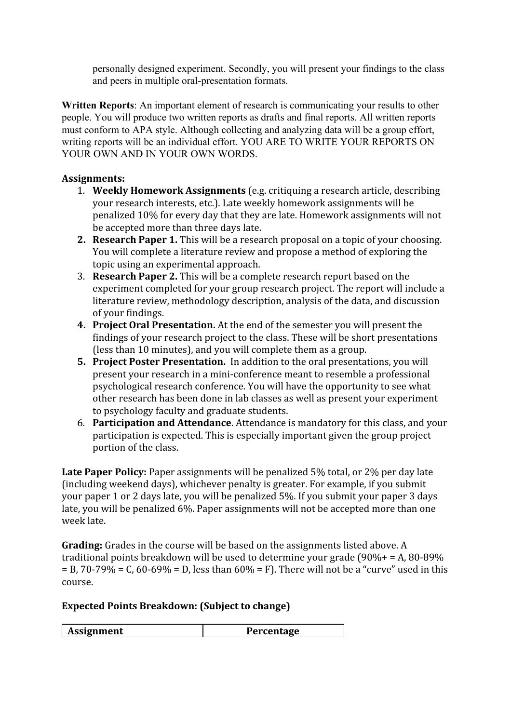personally designed experiment. Secondly, you will present your findings to the class and peers in multiple oral-presentation formats.

**Written Reports**: An important element of research is communicating your results to other people. You will produce two written reports as drafts and final reports. All written reports must conform to APA style. Although collecting and analyzing data will be a group effort, writing reports will be an individual effort. YOU ARE TO WRITE YOUR REPORTS ON YOUR OWN AND IN YOUR OWN WORDS.

## **Assignments:**

- 1. **Weekly Homework Assignments** (e.g. critiquing a research article, describing your research interests, etc.). Late weekly homework assignments will be penalized 10% for every day that they are late. Homework assignments will not be accepted more than three days late.
- **2. Research Paper 1.** This will be a research proposal on a topic of your choosing. You will complete a literature review and propose a method of exploring the topic using an experimental approach.
- 3. **Research Paper 2.** This will be a complete research report based on the experiment completed for your group research project. The report will include a literature review, methodology description, analysis of the data, and discussion of your findings.
- **4. Project Oral Presentation.** At the end of the semester you will present the findings of your research project to the class. These will be short presentations (less than 10 minutes), and you will complete them as a group.
- **5. Project Poster Presentation.**  In addition to the oral presentations, you will present your research in a mini-conference meant to resemble a professional psychological research conference. You will have the opportunity to see what other research has been done in lab classes as well as present your experiment to psychology faculty and graduate students.
- 6. **Participation and Attendance**. Attendance is mandatory for this class, and your participation is expected. This is especially important given the group project portion of the class.

Late Paper Policy: Paper assignments will be penalized 5% total, or 2% per day late (including weekend days), whichever penalty is greater. For example, if you submit your paper 1 or 2 days late, you will be penalized 5%. If you submit your paper 3 days late, you will be penalized 6%. Paper assignments will not be accepted more than one week late.

**Grading:** Grades in the course will be based on the assignments listed above. A traditional points breakdown will be used to determine your grade (90%+ = A, 80-89%  $=$  B, 70-79% = C, 60-69% = D, less than 60% = F). There will not be a "curve" used in this course.

## **Expected Points Breakdown: (Subject to change)**

| Assignment<br>Percentage |
|--------------------------|
|--------------------------|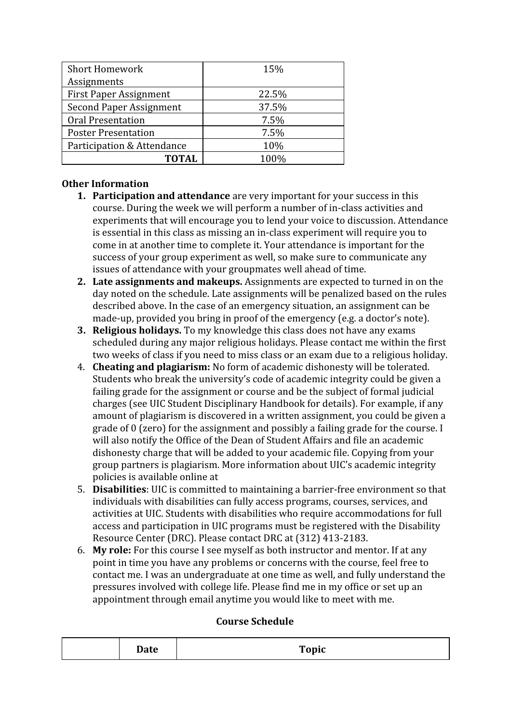| <b>Short Homework</b>          | 15%   |
|--------------------------------|-------|
| Assignments                    |       |
| <b>First Paper Assignment</b>  | 22.5% |
| <b>Second Paper Assignment</b> | 37.5% |
| <b>Oral Presentation</b>       | 7.5%  |
| <b>Poster Presentation</b>     | 7.5%  |
| Participation & Attendance     | 10%   |
| <b>TOTAL</b>                   | 100%  |

# **Other Information**

- **1. Participation and attendance** are very important for your success in this course. During the week we will perform a number of in-class activities and experiments that will encourage you to lend your voice to discussion. Attendance is essential in this class as missing an in-class experiment will require you to come in at another time to complete it. Your attendance is important for the success of your group experiment as well, so make sure to communicate any issues of attendance with your groupmates well ahead of time.
- **2. Late assignments and makeups.** Assignments are expected to turned in on the day noted on the schedule. Late assignments will be penalized based on the rules described above. In the case of an emergency situation, an assignment can be made-up, provided you bring in proof of the emergency (e.g. a doctor's note).
- **3. Religious holidays.** To my knowledge this class does not have any exams scheduled during any major religious holidays. Please contact me within the first two weeks of class if you need to miss class or an exam due to a religious holiday.
- 4. **Cheating and plagiarism:** No form of academic dishonesty will be tolerated. Students who break the university's code of academic integrity could be given a failing grade for the assignment or course and be the subject of formal judicial charges (see UIC Student Disciplinary Handbook for details). For example, if any amount of plagiarism is discovered in a written assignment, you could be given a grade of 0 (zero) for the assignment and possibly a failing grade for the course. I will also notify the Office of the Dean of Student Affairs and file an academic dishonesty charge that will be added to your academic file. Copying from your group partners is plagiarism. More information about UIC's academic integrity policies is available online at
- 5. **Disabilities**: UIC is committed to maintaining a barrier-free environment so that individuals with disabilities can fully access programs, courses, services, and activities at UIC. Students with disabilities who require accommodations for full access and participation in UIC programs must be registered with the Disability Resource Center (DRC). Please contact DRC at (312) 413-2183.
- 6. **My role:** For this course I see myself as both instructor and mentor. If at any point in time you have any problems or concerns with the course, feel free to contact me. I was an undergraduate at one time as well, and fully understand the pressures involved with college life. Please find me in my office or set up an appointment through email anytime you would like to meet with me.

## **Course Schedule**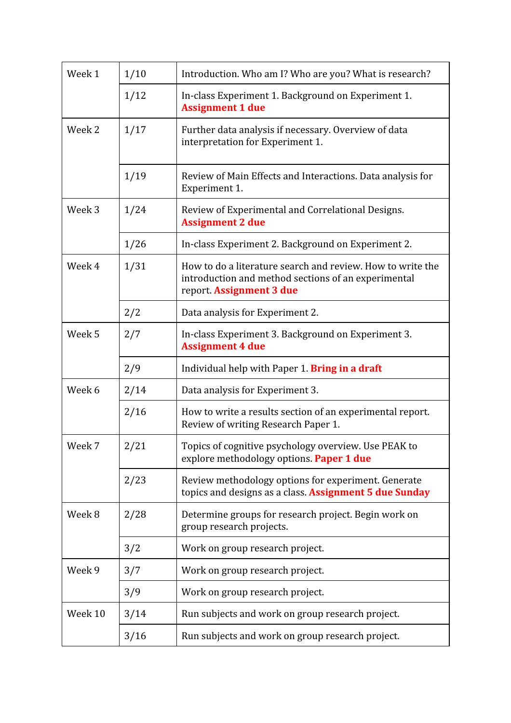| Week 1            | 1/10 | Introduction. Who am I? Who are you? What is research?                                                                                        |
|-------------------|------|-----------------------------------------------------------------------------------------------------------------------------------------------|
|                   | 1/12 | In-class Experiment 1. Background on Experiment 1.<br><b>Assignment 1 due</b>                                                                 |
| Week 2            | 1/17 | Further data analysis if necessary. Overview of data<br>interpretation for Experiment 1.                                                      |
|                   | 1/19 | Review of Main Effects and Interactions. Data analysis for<br>Experiment 1.                                                                   |
| Week 3            | 1/24 | Review of Experimental and Correlational Designs.<br><b>Assignment 2 due</b>                                                                  |
|                   | 1/26 | In-class Experiment 2. Background on Experiment 2.                                                                                            |
| Week 4            | 1/31 | How to do a literature search and review. How to write the<br>introduction and method sections of an experimental<br>report. Assignment 3 due |
|                   | 2/2  | Data analysis for Experiment 2.                                                                                                               |
| Week <sub>5</sub> | 2/7  | In-class Experiment 3. Background on Experiment 3.<br><b>Assignment 4 due</b>                                                                 |
|                   | 2/9  | Individual help with Paper 1. <b>Bring in a draft</b>                                                                                         |
| Week 6            | 2/14 | Data analysis for Experiment 3.                                                                                                               |
|                   | 2/16 | How to write a results section of an experimental report.<br>Review of writing Research Paper 1.                                              |
| Week 7            | 2/21 | Topics of cognitive psychology overview. Use PEAK to<br>explore methodology options. Paper 1 due                                              |
|                   | 2/23 | Review methodology options for experiment. Generate<br>topics and designs as a class. Assignment 5 due Sunday                                 |
| Week 8            | 2/28 | Determine groups for research project. Begin work on<br>group research projects.                                                              |
|                   | 3/2  | Work on group research project.                                                                                                               |
| Week 9            | 3/7  | Work on group research project.                                                                                                               |
|                   | 3/9  | Work on group research project.                                                                                                               |
| Week 10           | 3/14 | Run subjects and work on group research project.                                                                                              |
|                   | 3/16 | Run subjects and work on group research project.                                                                                              |